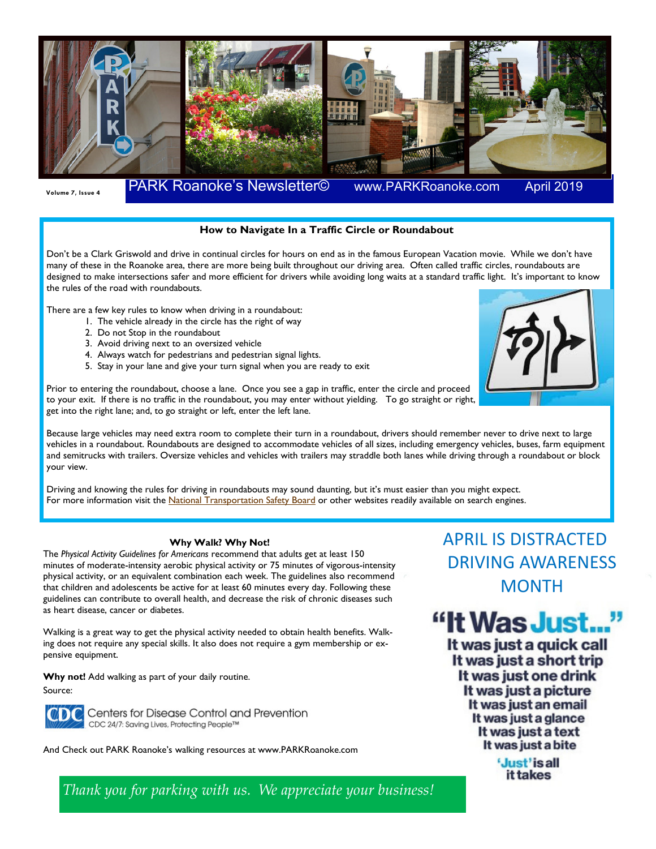

**April 2019** 

## **How to Navigate In a Traffic Circle or Roundabout**

Don't be a Clark Griswold and drive in continual circles for hours on end as in the famous European Vacation movie. While we don't have many of these in the Roanoke area, there are more being built throughout our driving area. Often called traffic circles, roundabouts are designed to make intersections safer and more efficient for drivers while avoiding long waits at a standard traffic light. It's important to know the rules of the road with roundabouts.

There are a few key rules to know when driving in a roundabout:

- 1. The vehicle already in the circle has the right of way
- 2. Do not Stop in the roundabout
- 3. Avoid driving next to an oversized vehicle
- 4. Always watch for pedestrians and pedestrian signal lights.
- 5. Stay in your lane and give your turn signal when you are ready to exit

Prior to entering the roundabout, choose a lane. Once you see a gap in traffic, enter the circle and proceed to your exit. If there is no traffic in the roundabout, you may enter without yielding. To go straight or right, get into the right lane; and, to go straight or left, enter the left lane.



Because large vehicles may need extra room to complete their turn in a roundabout, drivers should remember never to drive next to large vehicles in a roundabout. Roundabouts are designed to accommodate vehicles of all sizes, including emergency vehicles, buses, farm equipment and semitrucks with trailers. Oversize vehicles and vehicles with trailers may straddle both lanes while driving through a roundabout or block your view.

Driving and knowing the rules for driving in roundabouts may sound daunting, but it's must easier than you might expect. For more information visit the National Transportation Safety Board or other websites readily available on search engines.

## **Why Walk? Why Not!**

The *Physical Activity Guidelines for Americans* recommend that adults get at least 150 minutes of moderate-intensity aerobic physical activity or 75 minutes of vigorous-intensity physical activity, or an equivalent combination each week. The guidelines also recommend that children and adolescents be active for at least 60 minutes every day. Following these guidelines can contribute to overall health, and decrease the risk of chronic diseases such as heart disease, cancer or diabetes.

Walking is a great way to get the physical activity needed to obtain health benefits. Walking does not require any special skills. It also does not require a gym membership or expensive equipment.

**Why not!** Add walking as part of your daily routine.

Source:



Centers for Disease Control and Prevention CDC 24/7: Saving Lives, Protecting People™

And Check out PARK Roanoke's walking resources at www.PARKRoanoke.com

APRIL IS DISTRACTED DRIVING AWARENESS **MONTH** 

"It Was Just..."

It was just a quick call It was just a short trip It was just one drink It was just a picture It was just an email It was just a glance It was just a text It was just a bite

> 'Just'is all it takes

*Thank you for parking with us. We appreciate your business!*